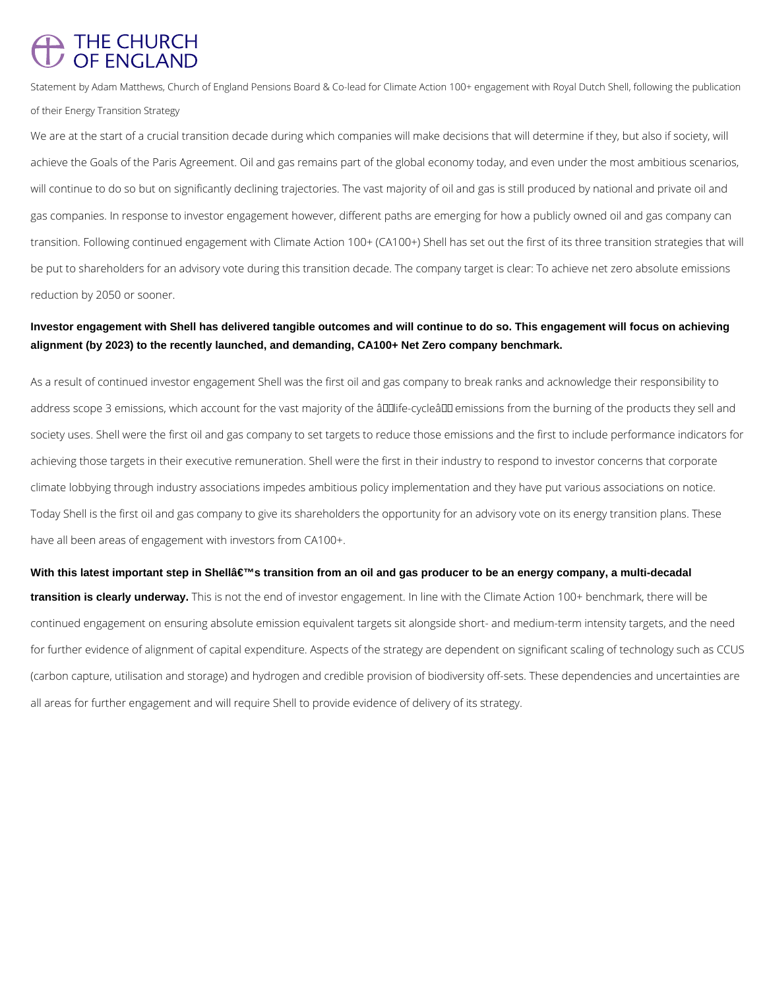## THE CHURCH OF FNGI AND

Statement by Adam Matthews, Church of England Pensions Board & Co-lead for Climate Action 100+ engagement with Royal Dutch Shell, following the publication of their Energy Transition Strategy

We are at the start of a crucial transition decade during which companies will make decisions that will determine if they, but also if society, will achieve the Goals of the Paris Agreement. Oil and gas remains part of the global economy today, and even under the most ambitious scenarios, will continue to do so but on significantly declining trajectories. The vast majority of oil and gas is still produced by national and private oil and gas companies. In response to investor engagement however, different paths are emerging for how a publicly owned oil and gas company can transition. Following continued engagement with Climate Action 100+ (CA100+) Shell has set out the first of its three transition strategies that will be put to shareholders for an advisory vote during this transition decade. The company target is clear: To achieve net zero absolute emissions reduction by 2050 or sooner.

## **Investor engagement with Shell has delivered tangible outcomes and will continue to do so. This engagement will focus on achieving alignment (by 2023) to the recently launched, and demanding, CA100+ Net Zero company benchmark.**

With this latest important step in Shellâ€<sup>™</sup>s transition from an oil and gas producer to be an energy company, a multi-decadal **transition is clearly underway.** This is not the end of investor engagement. In line with the Climate Action 100+ benchmark, there will be continued engagement on ensuring absolute emission equivalent targets sit alongside short- and medium-term intensity targets, and the need for further evidence of alignment of capital expenditure. Aspects of the strategy are dependent on significant scaling of technology such as CCUS (carbon capture, utilisation and storage) and hydrogen and credible provision of biodiversity off-sets. These dependencies and uncertainties are all areas for further engagement and will require Shell to provide evidence of delivery of its strategy.

As a result of continued investor engagement Shell was the first oil and gas company to break ranks and acknowledge their responsibility to address scope 3 emissions, which account for the vast majority of the âlllife-cycleâll emissions from the burning of the products they sell and society uses. Shell were the first oil and gas company to set targets to reduce those emissions and the first to include performance indicators for achieving those targets in their executive remuneration. Shell were the first in their industry to respond to investor concerns that corporate climate lobbying through industry associations impedes ambitious policy implementation and they have put various associations on notice. Today Shell is the first oil and gas company to give its shareholders the opportunity for an advisory vote on its energy transition plans. These have all been areas of engagement with investors from CA100+.